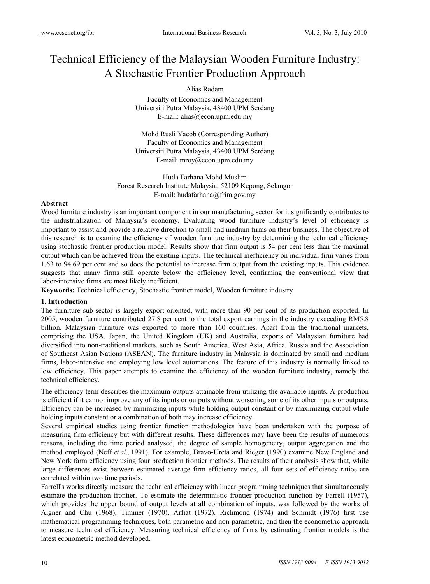# Technical Efficiency of the Malaysian Wooden Furniture Industry: A Stochastic Frontier Production Approach

# Alias Radam

Faculty of Economics and Management Universiti Putra Malaysia, 43400 UPM Serdang E-mail: alias@econ.upm.edu.my

Mohd Rusli Yacob (Corresponding Author) Faculty of Economics and Management Universiti Putra Malaysia, 43400 UPM Serdang E-mail: mroy@econ.upm.edu.my

Huda Farhana Mohd Muslim Forest Research Institute Malaysia, 52109 Kepong, Selangor E-mail: hudafarhana@frim.gov.my

# **Abstract**

Wood furniture industry is an important component in our manufacturing sector for it significantly contributes to the industrialization of Malaysia's economy. Evaluating wood furniture industry's level of efficiency is important to assist and provide a relative direction to small and medium firms on their business. The objective of this research is to examine the efficiency of wooden furniture industry by determining the technical efficiency using stochastic frontier production model. Results show that firm output is 54 per cent less than the maximal output which can be achieved from the existing inputs. The technical inefficiency on individual firm varies from 1.63 to 94.69 per cent and so does the potential to increase firm output from the existing inputs. This evidence suggests that many firms still operate below the efficiency level, confirming the conventional view that labor-intensive firms are most likely inefficient.

**Keywords:** Technical efficiency, Stochastic frontier model, Wooden furniture industry

# **1. Introduction**

The furniture sub-sector is largely export-oriented, with more than 90 per cent of its production exported. In 2005, wooden furniture contributed 27.8 per cent to the total export earnings in the industry exceeding RM5.8 billion. Malaysian furniture was exported to more than 160 countries. Apart from the traditional markets, comprising the USA, Japan, the United Kingdom (UK) and Australia, exports of Malaysian furniture had diversified into non-traditional markets, such as South America, West Asia, Africa, Russia and the Association of Southeast Asian Nations (ASEAN). The furniture industry in Malaysia is dominated by small and medium firms, labor-intensive and employing low level automations. The feature of this industry is normally linked to low efficiency. This paper attempts to examine the efficiency of the wooden furniture industry, namely the technical efficiency.

The efficiency term describes the maximum outputs attainable from utilizing the available inputs. A production is efficient if it cannot improve any of its inputs or outputs without worsening some of its other inputs or outputs. Efficiency can be increased by minimizing inputs while holding output constant or by maximizing output while holding inputs constant or a combination of both may increase efficiency.

Several empirical studies using frontier function methodologies have been undertaken with the purpose of measuring firm efficiency but with different results. These differences may have been the results of numerous reasons, including the time period analysed, the degree of sample homogeneity, output aggregation and the method employed (Neff *et aI*., 1991). For example, Bravo-Ureta and Rieger (1990) examine New England and New York farm efficiency using four production frontier methods. The results of their analysis show that, while large differences exist between estimated average firm efficiency ratios, all four sets of efficiency ratios are correlated within two time periods.

Farrell's works directly measure the technical efficiency with linear programming techniques that simultaneously estimate the production frontier. To estimate the deterministic frontier production function by Farrell (1957), which provides the upper bound of output levels at all combination of inputs, was followed by the works of Aigner and Chu (1968), Timmer (1970), Arfiat (1972). Richmond (1974) and Schmidt (1976) first use mathematical programming techniques, both parametric and non-parametric, and then the econometric approach to measure technical efficiency. Measuring technical efficiency of firms by estimating frontier models is the latest econometric method developed.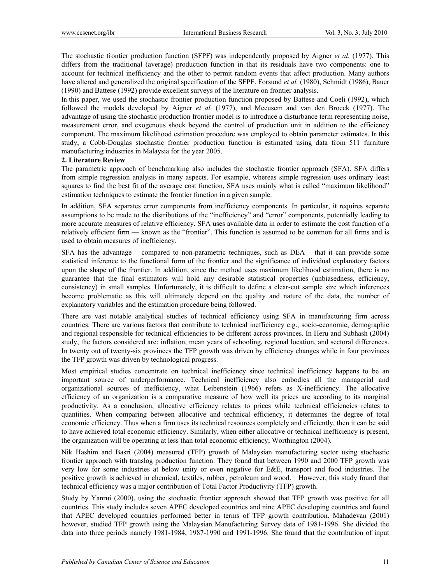The stochastic frontier production function (SFPF) was independently proposed by Aigner *et al.* (1977). This differs from the traditional (average) production function in that its residuals have two components: one to account for technical inefficiency and the other to permit random events that affect production. Many authors have altered and generalized the original specification of the SFPF. Forsund *et al.* (1980), Schmidt (1986), Bauer (1990) and Battese (1992) provide excellent surveys of the literature on frontier analysis.

In this paper, we used the stochastic frontier production function proposed by Battese and Coeli (1992), which followed the models developed by Aigner *et al.* (1977), and Meeusem and van den Broeck (1977). The advantage of using the stochastic production frontier model is to introduce a disturbance term representing noise, measurement error, and exogenous shock beyond the control of production unit in addition to the efficiency component. The maximum likelihood estimation procedure was employed to obtain parameter estimates. In this study, a Cobb-Douglas stochastic frontier production function is estimated using data from 511 furniture manufacturing industries in Malaysia for the year 2005.

# **2. Literature Review**

The parametric approach of benchmarking also includes the stochastic frontier approach (SFA). SFA differs from simple regression analysis in many aspects. For example, whereas simple regression uses ordinary least squares to find the best fit of the average cost function, SFA uses mainly what is called "maximum likelihood" estimation techniques to estimate the frontier function in a given sample.

In addition, SFA separates error components from inefficiency components. In particular, it requires separate assumptions to be made to the distributions of the "inefficiency" and "error" components, potentially leading to more accurate measures of relative efficiency. SFA uses available data in order to estimate the cost function of a relatively efficient firm — known as the "frontier". This function is assumed to be common for all firms and is used to obtain measures of inefficiency.

SFA has the advantage – compared to non-parametric techniques, such as DEA – that it can provide some statistical inference to the functional form of the frontier and the significance of individual explanatory factors upon the shape of the frontier. In addition, since the method uses maximum likelihood estimation, there is no guarantee that the final estimators will hold any desirable statistical properties (unbiasedness, efficiency, consistency) in small samples. Unfortunately, it is difficult to define a clear-cut sample size which inferences become problematic as this will ultimately depend on the quality and nature of the data, the number of explanatory variables and the estimation procedure being followed.

There are vast notable analytical studies of technical efficiency using SFA in manufacturing firm across countries. There are various factors that contribute to technical inefficiency e.g., socio-economic, demographic and regional responsible for technical efficiencies to be different across provinces. In Heru and Subhash (2004) study, the factors considered are: inflation, mean years of schooling, regional location, and sectoral differences. In twenty out of twenty-six provinces the TFP growth was driven by efficiency changes while in four provinces the TFP growth was driven by technological progress.

Most empirical studies concentrate on technical inefficiency since technical inefficiency happens to be an important source of underperformance. Technical inefficiency also embodies all the managerial and organizational sources of inefficiency, what Leibenstein (1966) refers as X-inefficiency. The allocative efficiency of an organization is a comparative measure of how well its prices are according to its marginal productivity. As a conclusion, allocative efficiency relates to prices while technical efficiencies relates to quantities. When comparing between allocative and technical efficiency, it determines the degree of total economic efficiency. Thus when a firm uses its technical resources completely and efficiently, then it can be said to have achieved total economic efficiency. Similarly, when either allocative or technical inefficiency is present, the organization will be operating at less than total economic efficiency; Worthington (2004).

Nik Hashim and Basri (2004) measured (TFP) growth of Malaysian manufacturing sector using stochastic frontier approach with translog production function. They found that between 1990 and 2000 TFP growth was very low for some industries at below unity or even negative for E&E, transport and food industries. The positive growth is achieved in chemical, textiles, rubber, petroleum and wood. However, this study found that technical efficiency was a major contribution of Total Factor Productivity (TFP) growth.

Study by Yanrui (2000), using the stochastic frontier approach showed that TFP growth was positive for all countries. This study includes seven APEC developed countries and nine APEC developing countries and found that APEC developed countries performed better in terms of TFP growth contribution. Mahadevan (2001) however, studied TFP growth using the Malaysian Manufacturing Survey data of 1981-1996. She divided the data into three periods namely 1981-1984, 1987-1990 and 1991-1996. She found that the contribution of input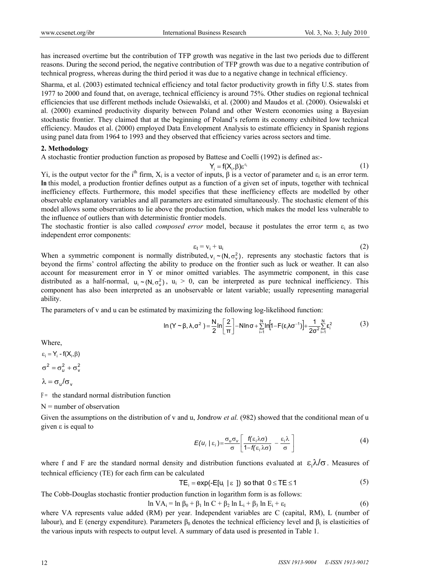has increased overtime but the contribution of TFP growth was negative in the last two periods due to different reasons. During the second period, the negative contribution of TFP growth was due to a negative contribution of technical progress, whereas during the third period it was due to a negative change in technical efficiency.

Sharma, et al. (2003) estimated technical efficiency and total factor productivity growth in fifty U.S. states from 1977 to 2000 and found that, on average, technical efficiency is around 75%. Other studies on regional technical efficiencies that use different methods include Osiewalski, et al. (2000) and Maudos et al. (2000). Osiewalski et al. (2000) examined productivity disparity between Poland and other Western economies using a Bayesian stochastic frontier. They claimed that at the beginning of Poland's reform its economy exhibited low technical efficiency. Maudos et al. (2000) employed Data Envelopment Analysis to estimate efficiency in Spanish regions using panel data from 1964 to 1993 and they observed that efficiency varies across sectors and time.

# **2. Methodology**

A stochastic frontier production function as proposed by Battese and Coelli (1992) is defined as:-

$$
Y_i = f(X_i, \beta) \varepsilon^{\varepsilon_i} \tag{1}
$$

Yi, is the output vector for the i<sup>th</sup> firm,  $X_i$  is a vector of inputs,  $\beta$  is a vector of parameter and  $\varepsilon_i$  is an error term. **In** this model, a production frontier defines output as a function of a given set of inputs, together with technical inefficiency effects. Furthermore, this model specifies that these inefficiency effects are modelled by other observable explanatory variables and all parameters are estimated simultaneously. The stochastic element of this model allows some observations to lie above the production function, which makes the model less vulnerable to the influence of outliers than with deterministic frontier models.

The stochastic frontier is also called *composed error* model, because it postulates the error term  $\varepsilon_i$  as two independent error components:

$$
\varepsilon_{\rm I} = \mathbf{v}_{\rm i} + \mathbf{u}_{\rm i} \tag{2}
$$

When a symmetric component is normally distributed,  $v_i \sim (N, \sigma_v^2)$ , represents any stochastic factors that is beyond the firms' control affecting the ability to produce on the frontier such as luck or weather. It can also account for measurement error in Y or minor omitted variables. The asymmetric component, in this case distributed as a half-normal,  $u_i \sim (N, \sigma_u^2)$ ,  $u_i > 0$ , can be interpreted as pure technical inefficiency. This component has also been interpreted as an unobservable or latent variable; usually representing managerial ability.

The parameters of v and u can be estimated by maximizing the following log-likelihood function:

$$
\ln(Y \sim \beta, \lambda, \sigma^2) = \frac{N}{2} \ln \left[ \frac{2}{\pi} \right] - N \ln \sigma + \sum_{i=1}^{N} \ln \left[ 1 - F(\epsilon_i \lambda \sigma^{-1}) \right] + \frac{1}{2\sigma^2} \sum_{i=1}^{N} \epsilon_i^2
$$
(3)

Where,

 $\varepsilon_i = Y_i - f(X_i, \beta)$  $\sigma^2 = \sigma_u^2 + \sigma_v^2$  $\lambda = \sigma_{\rm u}/\sigma_{\rm v}$ 

 $F =$  the standard normal distribution function

 $N =$  number of observation

Given the assumptions on the distribution of v and u, Jondrow *et al.* (982) showed that the conditional mean of u given ε is equal to

$$
E(u_i \mid \varepsilon_i) = \frac{\sigma_u \sigma_v}{\sigma} \left[ \frac{f(\varepsilon_i \lambda \sigma)}{1 - f(\varepsilon_i \lambda \sigma)} - \frac{\varepsilon_i \lambda}{\sigma} \right]
$$
(4)

where f and F are the standard normal density and distribution functions evaluated at  $\epsilon_i \lambda/\sigma$ . Measures of technical efficiency (TE) for each firm can be calculated

$$
TE_i = \exp(-E[u_i \mid \varepsilon])
$$
 so that  $0 \leq TE \leq 1$  (5)

The Cobb-Douglas stochastic frontier production function in logarithm form is as follows:

$$
\ln VA_i = \ln \beta_0 + \beta_1 \ln C + \beta_2 \ln L_i + \beta_3 \ln E_i + \varepsilon_I
$$
\n
$$
(6)
$$

where VA represents value added (RM) per year. Independent variables are C (capital, RM), L (number of labour), and E (energy expenditure). Parameters  $β_0$  denotes the technical efficiency level and  $β_1$  is elasticities of the various inputs with respects to output level. A summary of data used is presented in Table 1.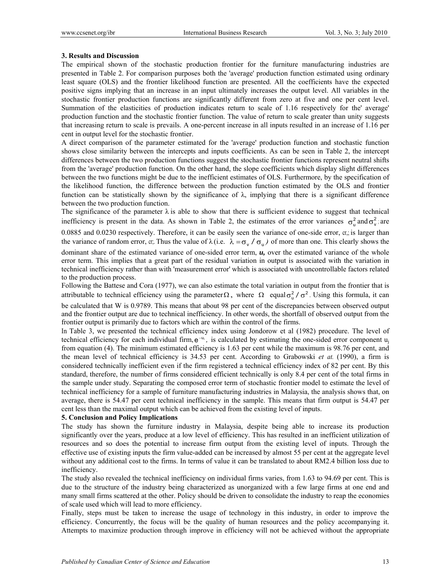#### **3. Results and Discussion**

The empirical shown of the stochastic production frontier for the furniture manufacturing industries are presented in Table 2. For comparison purposes both the 'average' production function estimated using ordinary least square (OLS) and the frontier likelihood function are presented. All the coefficients have the expected positive signs implying that an increase in an input ultimately increases the output level. All variables in the stochastic frontier production functions are significantly different from zero at five and one per cent level. Summation of the elasticities of production indicates return to scale of 1.16 respectively for the' average' production function and the stochastic frontier function. The value of return to scale greater than unity suggests that increasing return to scale is prevails. A one-percent increase in all inputs resulted in an increase of 1.16 per cent in output level for the stochastic frontier.

A direct comparison of the parameter estimated for the 'average' production function and stochastic function shows close similarity between the intercepts and inputs coefficients. As can be seen in Table 2, the intercept differences between the two production functions suggest the stochastic frontier functions represent neutral shifts from the 'average' production function. On the other hand, the slope coefficients which display slight differences between the two functions might be due to the inefficient estimates of OLS. Furthermore, by the specification of the likelihood function, the difference between the production function estimated by the OLS and frontier function can be statistically shown by the significance of  $\lambda$ , implying that there is a significant difference between the two production function.

The significance of the parameter  $\lambda$  is able to show that there is sufficient evidence to suggest that technical inefficiency is present in the data. As shown in Table 2, the estimates of the error variances  $\sigma_u^2$  and  $\sigma_v^2$ ; are 0.0885 and 0.0230 respectively. Therefore, it can be easily seen the variance of one-side error, cr,; is larger than the variance of random error, cr;. Thus the value of  $\lambda$  (i.e.  $\lambda = \sigma_v / \sigma_u$ ) of more than one. This clearly shows the dominant share of the estimated variance of one-sided error term,  $u$ , over the estimated variance of the whole error term. This implies that a great part of the residual variation in output is associated with the variation in technical inefficiency rather than with 'measurement error' which is associated with uncontrollable factors related to the production process.

Following the Battese and Cora (1977), we can also estimate the total variation in output from the frontier that is attributable to technical efficiency using the parameter  $\Omega$ , where  $\Omega$  equal  $\sigma_u^2/\sigma^2$ . Using this formula, it can

be calculated that W is 0.9789. This means that about 98 per cent of the discrepancies between observed output and the frontier output are due to technical inefficiency. In other words, the shortfall of observed output from the frontier output is primarily due to factors which are within the control of the firms.

In Table 3, we presented the technical efficiency index using Jondorow et al (1982) procedure. The level of technical efficiency for each individual firm,  $e^{-u_i}$ , is calculated by estimating the one-sided error component  $u_i$ from equation (4). The minimum estimated efficiency is 1.63 per cent while the maximum is 98.76 per cent, and the mean level of technical efficiency is 34.53 per cent. According to Grabowski *et at.* (1990), a firm is considered technically inefficient even if the firm registered a technical efficiency index of 82 per cent. By this standard, therefore, the number of firms considered efficient technically is only 8.4 per cent of the total firms in the sample under study. Separating the composed error term of stochastic frontier model to estimate the level of technical inefficiency for a sample of furniture manufacturing industries in Malaysia, the analysis shows that, on average, there is 54.47 per cent technical inefficiency in the sample. This means that firm output is 54.47 per cent less than the maximal output which can be achieved from the existing level of inputs.

#### **5. Conclusion and Policy Implications**

The study has shown the furniture industry in Malaysia, despite being able to increase its production significantly over the years, produce at a low level of efficiency. This has resulted in an inefficient utilization of resources and so does the potential to increase firm output from the existing level of inputs. Through the effective use of existing inputs the firm value-added can be increased by almost 55 per cent at the aggregate level without any additional cost to the firms. In terms of value it can be translated to about RM2.4 billion loss due to inefficiency.

The study also revealed the technical inefficiency on individual firms varies, from 1.63 to 94.69 per cent. This is due to the structure of the industry being characterized as unorganized with a few large firms at one end and many small firms scattered at the other. Policy should be driven to consolidate the industry to reap the economies of scale used which will lead to more efficiency.

Finally, steps must be taken to increase the usage of technology in this industry, in order to improve the efficiency. Concurrently, the focus will be the quality of human resources and the policy accompanying it. Attempts to maximize production through improve in efficiency will not be achieved without the appropriate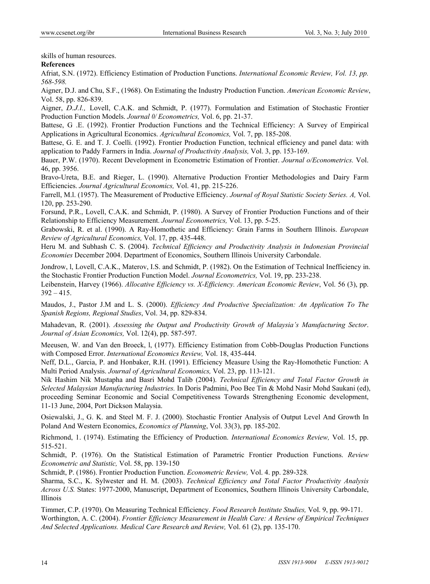skills of human resources.

# **References**

Afriat, S.N. (1972). Efficiency Estimation of Production Functions. *International Economic Review, Vol. 13, pp. 568-598.* 

Aigner, D.J. and Chu, S.F., (1968). On Estimating the Industry Production Function. *American Economic Review*, Vol. 58, pp. 826-839.

Aigner, *D.J.l.,* Lovell, C.A.K. and Schmidt, P. (1977). Formulation and Estimation of Stochastic Frontier Production Function Models. *Journal 0/ Econometrics,* Vol. 6, pp. 21-37.

Battese, G .E. (1992). Frontier Production Functions and the Technical Efficiency: A Survey of Empirical Applications in Agricultural Economics. *Agricultural Economics,* Vol. 7, pp. 185-208.

Battese, G. E. and T. J. Coelli. (1992). Frontier Production Function, technical efficiency and panel data: with application to Paddy Farmers in India. *Journal of Productivity Analysis,* Vol. 3, pp. 153-169.

Bauer, P.W. (1970). Recent Development in Econometric Estimation of Frontier. *Journal o/Econometrics.* Vol. 46, pp. 3956.

Bravo-Ureta, B.E. and Rieger, L. (1990). Alternative Production Frontier Methodologies and Dairy Farm Efficiencies. *Journal Agricultural Economics,* Vol. 41, pp. 215-226.

Farrell, M.l. (1957). The Measurement of Productive Efficiency. *Journal of Royal Statistic Society Series. A,* Vol. 120, pp. 253-290.

Forsund, P.R., Lovell, C.A.K. and Schmidt, P. (1980). A Survey of Frontier Production Functions and of their Relationship to Efficiency Measurement. *Journal Econometrics,* Vol. 13, pp. 5-25.

Grabowski, R. et al. (1990). A Ray-Homothetic and Efficiency: Grain Farms in Southern Illinois. *European Review of Agricultural Economics,* Vol. 17, pp. 435-448.

Heru M. and Subhash C. S. (2004). *Technical Efficiency and Productivity Analysis in Indonesian Provincial Economies* December 2004. Department of Economics, Southern Illinois University Carbondale.

Jondrow, l, Lovell, C.A.K., Materov, I.S. and Schmidt, P. (1982). On the Estimation of Technical Inefficiency in. the Stochastic Frontier Production Function Model. *Journal Econometrics,* Vol. 19, pp. 233-238.

Leibenstein, Harvey (1966). *Allocative Efficiency vs. X-Efficiency. American Economic Review*, Vol. 56 (3), pp.  $392 - 415$ .

Maudos, J., Pastor J.M and L. S. (2000). *Efficiency And Productive Specialization: An Application To The Spanish Regions, Regional Studies*, Vol. 34, pp. 829-834.

Mahadevan, R. (2001). *Assessing the Output and Productivity Growth of Malaysia's Manufacturing Sector*. *Journal of Asian Economics,* Vol. 12(4), pp. 587-597.

Meeusen, W. and Van den Broeck, l, (1977). Efficiency Estimation from Cobb-Douglas Production Functions with Composed Error. *International Economics Review,* Vol. 18, 435-444.

Neff, D.L., Garcia, P. and Honbaker, R.H. (1991). Efficiency Measure Using the Ray-Homothetic Function: A Multi Period Analysis. *Journal of Agricultural Economics,* Vol. 23, pp. 113-121.

Nik Hashim Nik Mustapha and Basri Mohd Talib (2004). *Technical Efficiency and Total Factor Growth in Selected Malaysian Manufacturing Industries.* In Doris Padmini, Poo Bee Tin & Mohd Nasir Mohd Saukani (ed), proceeding Seminar Economic and Social Competitiveness Towards Strengthening Economic development, 11-13 June, 2004, Port Dickson Malaysia.

Osiewalski, J., G. K. and Steel M. F. J. (2000). Stochastic Frontier Analysis of Output Level And Growth In Poland And Western Economics, *Economics of Planning*, Vol. 33(3), pp. 185-202.

Richmond, 1. (1974). Estimating the Efficiency of Production. *International Economics Review,* Vol. 15, pp. 515-521.

Schmidt, P. (1976). On the Statistical Estimation of Parametric Frontier Production Functions. *Review Econometric and Statistic,* Vol. 58, pp. 139-150

Schmidt, P. (1986). Frontier Production Function. *Econometric Review,* Vol. 4. pp. 289-328*.* 

Sharma, S.C., K. Sylwester and H. M. (2003). *Technical Efficiency and Total Factor Productivity Analysis Across U.S.* States: 1977-2000, Manuscript, Department of Economics, Southern Illinois University Carbondale, Illinois

Timmer, C.P. (1970). On Measuring Technical Efficiency. *Food Research Institute Studies,* Vol. 9, pp. 99-171. Worthington, A. C. (2004). *Frontier Efficiency Measurement in Health Care: A Review of Empirical Techniques And Selected Applications. Medical Care Research and Review,* Vol. 61 (2), pp. 135-170.